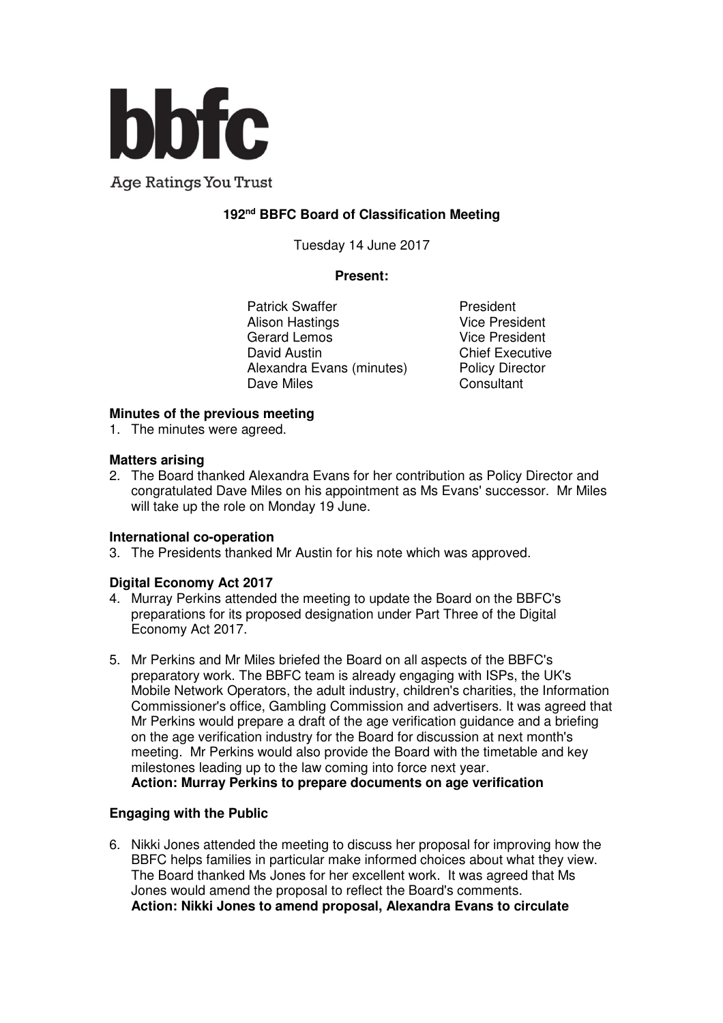

**Age Ratings You Trust** 

### **192nd BBFC Board of Classification Meeting**

Tuesday 14 June 2017

#### **Present:**

Patrick Swaffer **President** Alison Hastings Vice President<br>Gerard Lemos Vice President Gerard Lemos David Austin **Chief Executive** Alexandra Evans (minutes) Policy Director Dave Miles **Consultant** 

#### **Minutes of the previous meeting**

1. The minutes were agreed.

#### **Matters arising**

2. The Board thanked Alexandra Evans for her contribution as Policy Director and congratulated Dave Miles on his appointment as Ms Evans' successor. Mr Miles will take up the role on Monday 19 June.

#### **International co-operation**

3. The Presidents thanked Mr Austin for his note which was approved.

#### **Digital Economy Act 2017**

- 4. Murray Perkins attended the meeting to update the Board on the BBFC's preparations for its proposed designation under Part Three of the Digital Economy Act 2017.
- 5. Mr Perkins and Mr Miles briefed the Board on all aspects of the BBFC's preparatory work. The BBFC team is already engaging with ISPs, the UK's Mobile Network Operators, the adult industry, children's charities, the Information Commissioner's office, Gambling Commission and advertisers. It was agreed that Mr Perkins would prepare a draft of the age verification guidance and a briefing on the age verification industry for the Board for discussion at next month's meeting. Mr Perkins would also provide the Board with the timetable and key milestones leading up to the law coming into force next year. **Action: Murray Perkins to prepare documents on age verification**

#### **Engaging with the Public**

6. Nikki Jones attended the meeting to discuss her proposal for improving how the BBFC helps families in particular make informed choices about what they view. The Board thanked Ms Jones for her excellent work. It was agreed that Ms Jones would amend the proposal to reflect the Board's comments. **Action: Nikki Jones to amend proposal, Alexandra Evans to circulate**